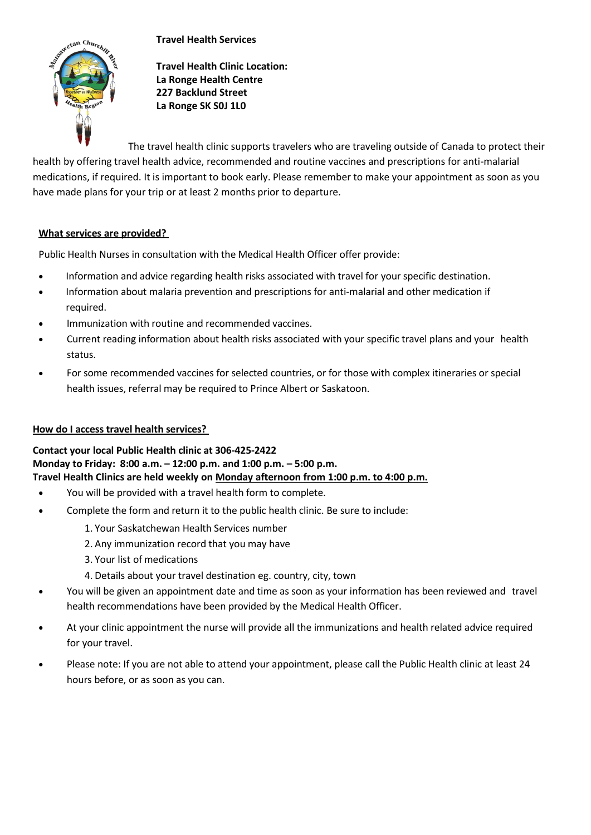## **Travel Health Services**



**Travel Health Clinic Location: La Ronge Health Centre 227 Backlund Street La Ronge SK S0J 1L0**

The travel health clinic supports travelers who are traveling outside of Canada to protect their health by offering travel health advice, recommended and routine vaccines and prescriptions for anti-malarial medications, if required. It is important to book early. Please remember to make your appointment as soon as you have made plans for your trip or at least 2 months prior to departure.

## **What services are provided?**

Public Health Nurses in consultation with the Medical Health Officer offer provide:

- Information and advice regarding health risks associated with travel for your specific destination.
- Information about malaria prevention and prescriptions for anti-malarial and other medication if required.
- Immunization with routine and recommended vaccines.
- Current reading information about health risks associated with your specific travel plans and your health status.
- For some recommended vaccines for selected countries, or for those with complex itineraries or special health issues, referral may be required to Prince Albert or Saskatoon.

## **How do I access travel health services?**

**Contact your local Public Health clinic at 306-425-2422 Monday to Friday: 8:00 a.m. – 12:00 p.m. and 1:00 p.m. – 5:00 p.m. Travel Health Clinics are held weekly on Monday afternoon from 1:00 p.m. to 4:00 p.m.**

- You will be provided with a travel health form to complete.
- Complete the form and return it to the public health clinic. Be sure to include:
	- 1. Your Saskatchewan Health Services number
	- 2. Any immunization record that you may have
	- 3. Your list of medications
	- 4. Details about your travel destination eg. country, city, town
- You will be given an appointment date and time as soon as your information has been reviewed and travel health recommendations have been provided by the Medical Health Officer.
- At your clinic appointment the nurse will provide all the immunizations and health related advice required for your travel.
- Please note: If you are not able to attend your appointment, please call the Public Health clinic at least 24 hours before, or as soon as you can.